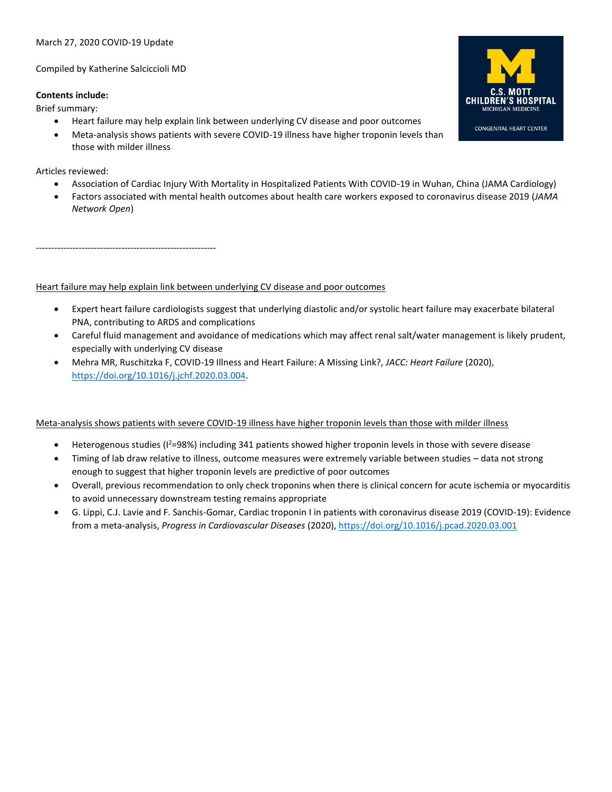# March 27, 2020 COVID-19 Update

Compiled by Katherine Salciccioli MD

## **Contents include:**

Brief summary:

- Heart failure may help explain link between underlying CV disease and poor outcomes
- Meta-analysis shows patients with severe COVID-19 illness have higher troponin levels than those with milder illness

Articles reviewed:

- Association of Cardiac Injury With Mortality in Hospitalized Patients With COVID-19 in Wuhan, China (JAMA Cardiology)
- Factors associated with mental health outcomes about health care workers exposed to coronavirus disease 2019 (*JAMA Network Open*)

-----------------------------------------------------------

Heart failure may help explain link between underlying CV disease and poor outcomes

- Expert heart failure cardiologists suggest that underlying diastolic and/or systolic heart failure may exacerbate bilateral PNA, contributing to ARDS and complications
- Careful fluid management and avoidance of medications which may affect renal salt/water management is likely prudent, especially with underlying CV disease
- Mehra MR, Ruschitzka F, COVID-19 Illness and Heart Failure: A Missing Link?, *JACC: Heart Failure* (2020), [https://doi.org/10.1016/j.jchf.2020.03.004.](https://doi.org/10.1016/j.jchf.2020.03.004)

Meta-analysis shows patients with severe COVID-19 illness have higher troponin levels than those with milder illness

- Heterogenous studies (I<sup>2</sup>=98%) including 341 patients showed higher troponin levels in those with severe disease
- Timing of lab draw relative to illness, outcome measures were extremely variable between studies data not strong enough to suggest that higher troponin levels are predictive of poor outcomes
- Overall, previous recommendation to only check troponins when there is clinical concern for acute ischemia or myocarditis to avoid unnecessary downstream testing remains appropriate
- G. Lippi, C.J. Lavie and F. Sanchis-Gomar, Cardiac troponin I in patients with coronavirus disease 2019 (COVID-19): Evidence from a meta-analysis, *Progress in Cardiovascular Diseases* (2020), <https://doi.org/10.1016/j.pcad.2020.03.001>

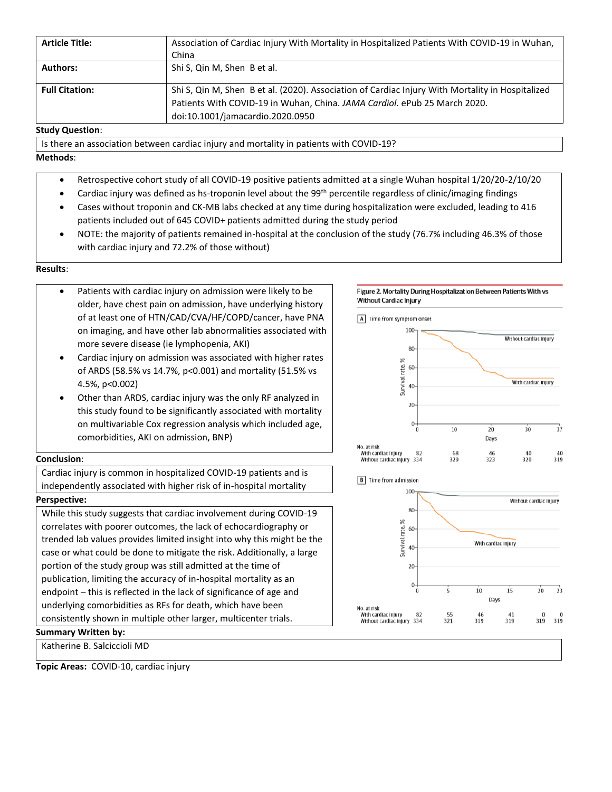| <b>Article Title:</b> | Association of Cardiac Injury With Mortality in Hospitalized Patients With COVID-19 in Wuhan,<br>China                                                                                                            |
|-----------------------|-------------------------------------------------------------------------------------------------------------------------------------------------------------------------------------------------------------------|
| <b>Authors:</b>       | Shi S, Qin M, Shen B et al.                                                                                                                                                                                       |
| <b>Full Citation:</b> | Shi S, Qin M, Shen B et al. (2020). Association of Cardiac Injury With Mortality in Hospitalized<br>Patients With COVID-19 in Wuhan, China. JAMA Cardiol. ePub 25 March 2020.<br>doi:10.1001/jamacardio.2020.0950 |

### **Study Question**:

Is there an association between cardiac injury and mortality in patients with COVID-19?

# **Methods**:

- Retrospective cohort study of all COVID-19 positive patients admitted at a single Wuhan hospital 1/20/20-2/10/20
- Cardiac injury was defined as hs-troponin level about the 99<sup>th</sup> percentile regardless of clinic/imaging findings
- Cases without troponin and CK-MB labs checked at any time during hospitalization were excluded, leading to 416 patients included out of 645 COVID+ patients admitted during the study period
- NOTE: the majority of patients remained in-hospital at the conclusion of the study (76.7% including 46.3% of those with cardiac injury and 72.2% of those without)

# **Results**:

- Patients with cardiac injury on admission were likely to be older, have chest pain on admission, have underlying history of at least one of HTN/CAD/CVA/HF/COPD/cancer, have PNA on imaging, and have other lab abnormalities associated with more severe disease (ie lymphopenia, AKI)
- Cardiac injury on admission was associated with higher rates of ARDS (58.5% vs 14.7%, p<0.001) and mortality (51.5% vs 4.5%, p<0.002)
- Other than ARDS, cardiac injury was the only RF analyzed in this study found to be significantly associated with mortality on multivariable Cox regression analysis which included age, comorbidities, AKI on admission, BNP)

### **Conclusion**:

Cardiac injury is common in hospitalized COVID-19 patients and is independently associated with higher risk of in-hospital mortality

# **Perspective:**

While this study suggests that cardiac involvement during COVID-19 correlates with poorer outcomes, the lack of echocardiography or trended lab values provides limited insight into why this might be the case or what could be done to mitigate the risk. Additionally, a large portion of the study group was still admitted at the time of publication, limiting the accuracy of in-hospital mortality as an endpoint – this is reflected in the lack of significance of age and underlying comorbidities as RFs for death, which have been consistently shown in multiple other larger, multicenter trials.

# **Summary Written by:**

Katherine B. Salciccioli MD

**Topic Areas:** COVID-10, cardiac injury